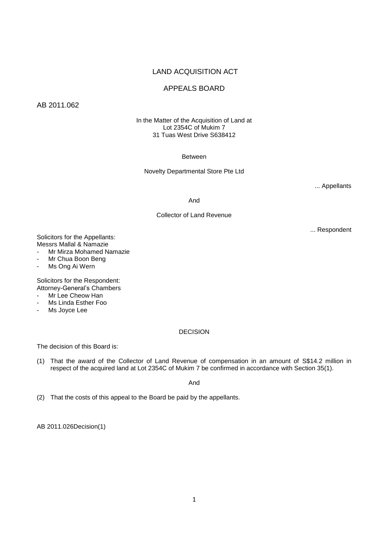# LAND ACQUISITION ACT

# APPEALS BOARD

AB 2011.062

In the Matter of the Acquisition of Land at Lot 2354C of Mukim 7 31 Tuas West Drive S638412

Between

Novelty Departmental Store Pte Ltd

... Appellants

And

Collector of Land Revenue

... Respondent

Solicitors for the Appellants: Messrs Mallal & Namazie

- Mr Mirza Mohamed Namazie
- Mr Chua Boon Beng
- Ms Ong Ai Wern

Solicitors for the Respondent: Attorney-General's Chambers

- Mr Lee Cheow Han
- Ms Linda Esther Foo
- Ms Joyce Lee

## DECISION

The decision of this Board is:

(1) That the award of the Collector of Land Revenue of compensation in an amount of S\$14.2 million in respect of the acquired land at Lot 2354C of Mukim 7 be confirmed in accordance with Section 35(1).

And

(2) That the costs of this appeal to the Board be paid by the appellants.

AB 2011.026Decision(1)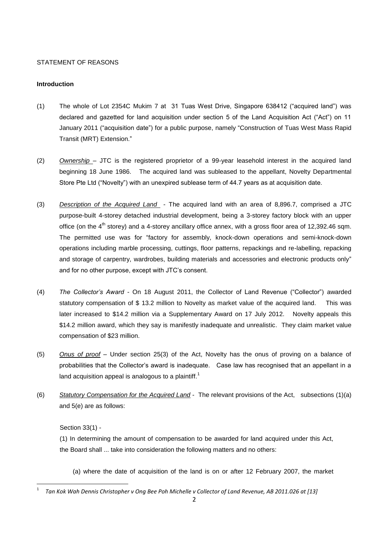## STATEMENT OF REASONS

## **Introduction**

- (1) The whole of Lot 2354C Mukim 7 at 31 Tuas West Drive, Singapore 638412 ("acquired land") was declared and gazetted for land acquisition under section 5 of the Land Acquisition Act ("Act") on 11 January 2011 ("acquisition date") for a public purpose, namely "Construction of Tuas West Mass Rapid Transit (MRT) Extension."
- (2) *Ownership*  JTC is the registered proprietor of a 99-year leasehold interest in the acquired land beginning 18 June 1986. The acquired land was subleased to the appellant, Novelty Departmental Store Pte Ltd ("Novelty") with an unexpired sublease term of 44.7 years as at acquisition date.
- (3) *Description of the Acquired Land*  The acquired land with an area of 8,896.7, comprised a JTC purpose-built 4-storey detached industrial development, being a 3-storey factory block with an upper office (on the  $4<sup>th</sup>$  storey) and a 4-storey ancillary office annex, with a gross floor area of 12,392.46 sqm. The permitted use was for "factory for assembly, knock-down operations and semi-knock-down operations including marble processing, cuttings, floor patterns, repackings and re-labelling, repacking and storage of carpentry, wardrobes, building materials and accessories and electronic products only" and for no other purpose, except with JTC's consent.
- (4) *The Collector's Award -* On 18 August 2011, the Collector of Land Revenue ("Collector") awarded statutory compensation of \$ 13.2 million to Novelty as market value of the acquired land. This was later increased to \$14.2 million via a Supplementary Award on 17 July 2012. Novelty appeals this \$14.2 million award, which they say is manifestly inadequate and unrealistic. They claim market value compensation of \$23 million.
- (5) *Onus of proof* Under section 25(3) of the Act, Novelty has the onus of proving on a balance of probabilities that the Collector's award is inadequate. Case law has recognised that an appellant in a land acquisition appeal is analogous to a plaintiff.<sup>1</sup>
- (6) *Statutory Compensation for the Acquired Land* The relevant provisions of the Act, subsections (1)(a) and 5(e) are as follows:

Section 33(1) -

1

(1) In determining the amount of compensation to be awarded for land acquired under this Act, the Board shall ... take into consideration the following matters and no others:

(a) where the date of acquisition of the land is on or after 12 February 2007, the market

<sup>1</sup> *Tan Kok Wah Dennis Christopher v Ong Bee Poh Michelle v Collector of Land Revenue, AB 2011.026 at [13]*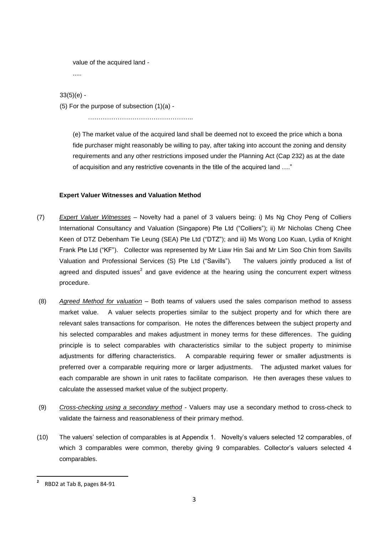value of the acquired land -

```
.....
```
 $33(5)(e) -$ 

(5) For the purpose of subsection (1)(a) -

…………………………………………..

(e) The market value of the acquired land shall be deemed not to exceed the price which a bona fide purchaser might reasonably be willing to pay, after taking into account the zoning and density requirements and any other restrictions imposed under the Planning Act (Cap 232) as at the date of acquisition and any restrictive covenants in the title of the acquired land …."

## **Expert Valuer Witnesses and Valuation Method**

- (7) *Expert Valuer Witnesses* Novelty had a panel of 3 valuers being: i) Ms Ng Choy Peng of Colliers International Consultancy and Valuation (Singapore) Pte Ltd ("Colliers"); ii) Mr Nicholas Cheng Chee Keen of DTZ Debenham Tie Leung (SEA) Pte Ltd ("DTZ"); and iii) Ms Wong Loo Kuan, Lydia of Knight Frank Pte Ltd ("KF"). Collector was represented by Mr Liaw Hin Sai and Mr Lim Soo Chin from Savills Valuation and Professional Services (S) Pte Ltd ("Savills"). The valuers jointly produced a list of agreed and disputed issues<sup>2</sup> and gave evidence at the hearing using the concurrent expert witness procedure.
- (8) *Agreed Method for valuation* Both teams of valuers used the sales comparison method to assess market value. A valuer selects properties similar to the subject property and for which there are relevant sales transactions for comparison. He notes the differences between the subject property and his selected comparables and makes adjustment in money terms for these differences. The guiding principle is to select comparables with characteristics similar to the subject property to minimise adjustments for differing characteristics. A comparable requiring fewer or smaller adjustments is preferred over a comparable requiring more or larger adjustments. The adjusted market values for each comparable are shown in unit rates to facilitate comparison. He then averages these values to calculate the assessed market value of the subject property.
- (9) *Cross-checking using a secondary method* Valuers may use a secondary method to cross-check to validate the fairness and reasonableness of their primary method.
- (10) The valuers' selection of comparables is at Appendix 1. Novelty's valuers selected 12 comparables, of which 3 comparables were common, thereby giving 9 comparables. Collector's valuers selected 4 comparables.

 $\overline{a}$ 

**<sup>2</sup>** RBD2 at Tab 8, pages 84-91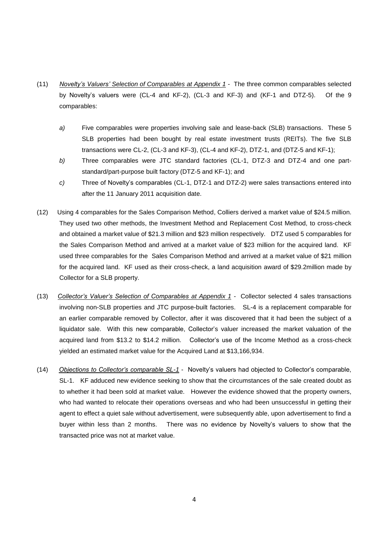- (11) *Novelty's Valuers' Selection of Comparables at Appendix 1* The three common comparables selected by Novelty's valuers were (CL-4 and KF-2), (CL-3 and KF-3) and (KF-1 and DTZ-5). Of the 9 comparables:
	- *a)* Five comparables were properties involving sale and lease-back (SLB) transactions. These 5 SLB properties had been bought by real estate investment trusts (REITs). The five SLB transactions were CL-2, (CL-3 and KF-3), (CL-4 and KF-2), DTZ-1, and (DTZ-5 and KF-1);
	- *b)* Three comparables were JTC standard factories (CL-1, DTZ-3 and DTZ-4 and one partstandard/part-purpose built factory (DTZ-5 and KF-1); and
	- *c)* Three of Novelty's comparables (CL-1, DTZ-1 and DTZ-2) were sales transactions entered into after the 11 January 2011 acquisition date.
- (12) Using 4 comparables for the Sales Comparison Method, Colliers derived a market value of \$24.5 million. They used two other methods, the Investment Method and Replacement Cost Method, to cross-check and obtained a market value of \$21.3 million and \$23 million respectively. DTZ used 5 comparables for the Sales Comparison Method and arrived at a market value of \$23 million for the acquired land. KF used three comparables for the Sales Comparison Method and arrived at a market value of \$21 million for the acquired land. KF used as their cross-check, a land acquisition award of \$29.2million made by Collector for a SLB property.
- (13) *Collector's Valuer's Selection of Comparables at Appendix 1* Collector selected 4 sales transactions involving non-SLB properties and JTC purpose-built factories. SL-4 is a replacement comparable for an earlier comparable removed by Collector, after it was discovered that it had been the subject of a liquidator sale. With this new comparable, Collector's valuer increased the market valuation of the acquired land from \$13.2 to \$14.2 million. Collector's use of the Income Method as a cross-check yielded an estimated market value for the Acquired Land at \$13,166,934.
- (14) *Objections to Collector's comparable SL-1* Novelty's valuers had objected to Collector's comparable, SL-1. KF adduced new evidence seeking to show that the circumstances of the sale created doubt as to whether it had been sold at market value. However the evidence showed that the property owners, who had wanted to relocate their operations overseas and who had been unsuccessful in getting their agent to effect a quiet sale without advertisement, were subsequently able, upon advertisement to find a buyer within less than 2 months. There was no evidence by Novelty's valuers to show that the transacted price was not at market value.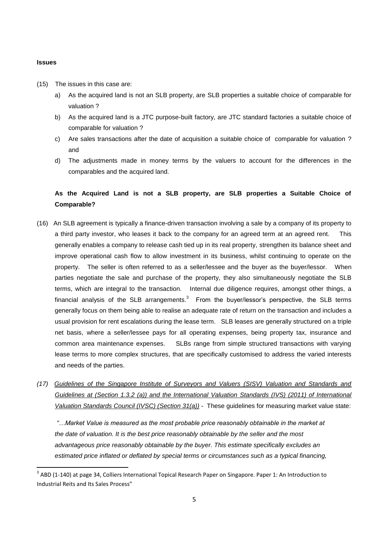#### **Issues**

- (15) The issues in this case are:
	- a) As the acquired land is not an SLB property, are SLB properties a suitable choice of comparable for valuation ?
	- b) As the acquired land is a JTC purpose-built factory, are JTC standard factories a suitable choice of comparable for valuation ?
	- c) Are sales transactions after the date of acquisition a suitable choice of comparable for valuation ? and
	- d) The adjustments made in money terms by the valuers to account for the differences in the comparables and the acquired land.

# **As the Acquired Land is not a SLB property, are SLB properties a Suitable Choice of Comparable?**

- (16) An SLB agreement is typically a finance-driven transaction involving a sale by a company of its property to a third party investor, who leases it back to the company for an agreed term at an agreed rent. This generally enables a company to release cash tied up in its real property, strengthen its balance sheet and improve operational cash flow to allow investment in its business, whilst continuing to operate on the property. The seller is often referred to as a seller/lessee and the buyer as the buyer/lessor. When parties negotiate the sale and purchase of the property, they also simultaneously negotiate the SLB terms, which are integral to the transaction. Internal due diligence requires, amongst other things, a financial analysis of the SLB arrangements. $3$  From the buyer/lessor's perspective, the SLB terms generally focus on them being able to realise an adequate rate of return on the transaction and includes a usual provision for rent escalations during the lease term. SLB leases are generally structured on a triple net basis, where a seller/lessee pays for all operating expenses, being property tax, insurance and common area maintenance expenses. SLBs range from simple structured transactions with varying lease terms to more complex structures, that are specifically customised to address the varied interests and needs of the parties.
- *(17) Guidelines of the Singapore Institute of Surveyors and Valuers (SISV) Valuation and Standards and Guidelines at (Section 1.3.2 (a)) and the International Valuation Standards (IVS) (2011) of International Valuation Standards Council (IVSC) (Section 31(a))* - These guidelines for measuring market value state:

*"…Market Value is measured as the most probable price reasonably obtainable in the market at the date of valuation. It is the best price reasonably obtainable by the seller and the most advantageous price reasonably obtainable by the buyer. This estimate specifically excludes an estimated price inflated or deflated by special terms or circumstances such as a typical financing,* 

 3 ABD (1-140) at page 34, Colliers International Topical Research Paper on Singapore. Paper 1: An Introduction to Industrial Reits and Its Sales Process"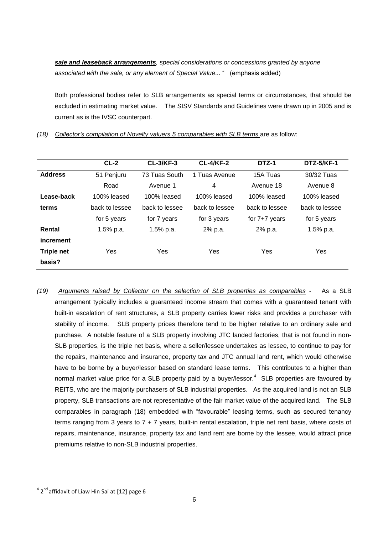*sale and leaseback arrangements, special considerations or concessions granted by anyone associated with the sale, or any element of Special Value...* " (emphasis added)

 Both professional bodies refer to SLB arrangements as special terms or circumstances, that should be excluded in estimating market value. The SISV Standards and Guidelines were drawn up in 2005 and is current as is the IVSC counterpart.

|                   | $CL-2$         | <b>CL-3/KF-3</b> | <b>CL-4/KF-2</b> | DTZ-1           | <b>DTZ-5/KF-1</b> |  |  |
|-------------------|----------------|------------------|------------------|-----------------|-------------------|--|--|
| <b>Address</b>    | 51 Penjuru     | 73 Tuas South    | 1 Tuas Avenue    | 15A Tuas        | 30/32 Tuas        |  |  |
|                   | Road           | Avenue 1         | 4                | Avenue 18       | Avenue 8          |  |  |
| Lease-back        | 100% leased    | $100\%$ leased   | 100% leased      | $100\%$ leased  | 100% leased       |  |  |
| terms             | back to lessee | back to lessee   | back to lessee   | back to lessee  | back to lessee    |  |  |
|                   | for 5 years    | for 7 years      | for 3 years      | for $7+7$ years | for 5 years       |  |  |
| Rental            | 1.5% p.a.      | $1.5%$ p.a.      | 2% p.a.          | 2% p.a.         | 1.5% p.a.         |  |  |
| increment         |                |                  |                  |                 |                   |  |  |
| <b>Triple net</b> | Yes            | <b>Yes</b>       | <b>Yes</b>       | Yes             | Yes               |  |  |
| basis?            |                |                  |                  |                 |                   |  |  |

*(18) Collector's compilation of Novelty valuers 5 comparables with SLB terms* are as follow:

*(19) Arguments raised by Collector on the selection of SLB properties as comparables* - As a SLB arrangement typically includes a guaranteed income stream that comes with a guaranteed tenant with built-in escalation of rent structures, a SLB property carries lower risks and provides a purchaser with stability of income. SLB property prices therefore tend to be higher relative to an ordinary sale and purchase. A notable feature of a SLB property involving JTC landed factories, that is not found in non-SLB properties, is the triple net basis, where a seller/lessee undertakes as lessee, to continue to pay for the repairs, maintenance and insurance, property tax and JTC annual land rent, which would otherwise have to be borne by a buyer/lessor based on standard lease terms. This contributes to a higher than normal market value price for a SLB property paid by a buyer/lessor. $4$  SLB properties are favoured by REITS, who are the majority purchasers of SLB industrial properties. As the acquired land is not an SLB property, SLB transactions are not representative of the fair market value of the acquired land. The SLB comparables in paragraph (18) embedded with "favourable" leasing terms, such as secured tenancy terms ranging from 3 years to 7 + 7 years, built-in rental escalation, triple net rent basis, where costs of repairs, maintenance, insurance, property tax and land rent are borne by the lessee, would attract price premiums relative to non-SLB industrial properties.

 4 2 nd affidavit of Liaw Hin Sai at [12] page 6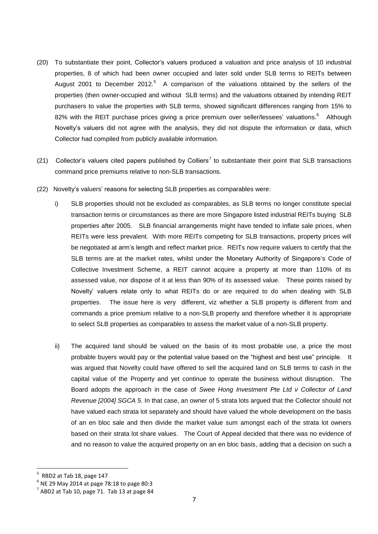- (20) To substantiate their point, Collector's valuers produced a valuation and price analysis of 10 industrial properties, 8 of which had been owner occupied and later sold under SLB terms to REITs between August 2001 to December 2012.<sup>5</sup> A comparison of the valuations obtained by the sellers of the properties (then owner-occupied and without SLB terms) and the valuations obtained by intending REIT purchasers to value the properties with SLB terms, showed significant differences ranging from 15% to 82% with the REIT purchase prices giving a price premium over seller/lessees' valuations.<sup>6</sup> Although Novelty's valuers did not agree with the analysis, they did not dispute the information or data, which Collector had compiled from publicly available information.
- (21) Collector's valuers cited papers published by Colliers<sup>7</sup> to substantiate their point that SLB transactions command price premiums relative to non-SLB transactions.
- (22) Novelty's valuers' reasons for selecting SLB properties as comparables were:
	- i) SLB properties should not be excluded as comparables, as SLB terms no longer constitute special transaction terms or circumstances as there are more Singapore listed industrial REITs buying SLB properties after 2005. SLB financial arrangements might have tended to inflate sale prices, when REITs were less prevalent. With more REITs competing for SLB transactions, property prices will be negotiated at arm's length and reflect market price. REITs now require valuers to certify that the SLB terms are at the market rates, whilst under the Monetary Authority of Singapore's Code of Collective Investment Scheme, a REIT cannot acquire a property at more than 110% of its assessed value, nor dispose of it at less than 90% of its assessed value. These points raised by Novelty' valuers relate only to what REITs do or are required to do when dealing with SLB properties. The issue here is very different, viz whether a SLB property is different from and commands a price premium relative to a non-SLB property and therefore whether it is appropriate to select SLB properties as comparables to assess the market value of a non-SLB property.
	- ii) The acquired land should be valued on the basis of its most probable use, a price the most probable buyers would pay or the potential value based on the "highest and best use" principle. It was argued that Novelty could have offered to sell the acquired land on SLB terms to cash in the capital value of the Property and yet continue to operate the business without disruption. The Board adopts the approach in the case of *Swee Hong Investment Pte Ltd v Collector of Land Revenue [2004] SGCA 5.* In that case, an owner of 5 strata lots argued that the Collector should not have valued each strata lot separately and should have valued the whole development on the basis of an en bloc sale and then divide the market value sum amongst each of the strata lot owners based on their strata lot share values. The Court of Appeal decided that there was no evidence of and no reason to value the acquired property on an en bloc basis, adding that a decision on such a

**.** 

<sup>5</sup> RBD2 at Tab 18, page 147

 $^6$  NE 29 May 2014 at page 78:18 to page 80:3

 $^7$  ABD2 at Tab 10, page 71. Tab 13 at page 84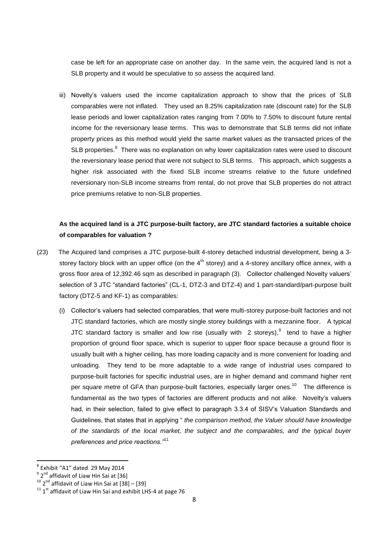case be left for an appropriate case on another day. In the same vein, the acquired land is not a SLB property and it would be speculative to so assess the acquired land.

iii) Novelty's valuers used the income capitalization approach to show that the prices of SLB comparables were not inflated. They used an 8.25% capitalization rate (discount rate) for the SLB lease periods and lower capitalization rates ranging from 7.00% to 7.50% to discount future rental income for the reversionary lease terms. This was to demonstrate that SLB terms did not inflate property prices as this method would yield the same market values as the transacted prices of the SLB properties.<sup>8</sup> There was no explanation on why lower capitalization rates were used to discount the reversionary lease period that were not subject to SLB terms. This approach, which suggests a higher risk associated with the fixed SLB income streams relative to the future undefined reversionary non-SLB income streams from rental, do not prove that SLB properties do not attract price premiums relative to non-SLB properties.

# **As the acquired land is a JTC purpose-built factory, are JTC standard factories a suitable choice of comparables for valuation ?**

- (23)The Acquired land comprises a JTC purpose-built 4-storey detached industrial development, being a 3 storey factory block with an upper office (on the  $4<sup>th</sup>$  storey) and a 4-storey ancillary office annex, with a gross floor area of 12,392.46 sqm as described in paragraph (3). Collector challenged Novelty valuers' selection of 3 JTC "standard factories" (CL-1, DTZ-3 and DTZ-4) and 1 part-standard/part-purpose built factory (DTZ-5 and KF-1) as comparables:
	- (i) Collector's valuers had selected comparables, that were multi-storey purpose-built factories and not JTC standard factories, which are mostly single storey buildings with a mezzanine floor. A typical JTC standard factory is smaller and low rise (usually with  $2$  storeys), tend to have a higher proportion of ground floor space, which is superior to upper floor space because a ground floor is usually built with a higher ceiling, has more loading capacity and is more convenient for loading and unloading. They tend to be more adaptable to a wide range of industrial uses compared to purpose-built factories for specific industrial uses, are in higher demand and command higher rent per square metre of GFA than purpose-built factories, especially larger ones.<sup>10</sup> The difference is fundamental as the two types of factories are different products and not alike. Novelty's valuers had, in their selection, failed to give effect to paragraph 3.3.4 of SISV's Valuation Standards and Guidelines, that states that in applying " *the comparison method, the Valuer should have knowledge of the standards of the local market, the subject and the comparables, and the typical buyer preferences and price reactions."*<sup>11</sup>

1

<sup>8</sup> Exhibit "A1" dated 29 May 2014

<sup>&</sup>lt;sup>9</sup> 2<sup>nd</sup> affidavit of Liaw Hin Sai at [36]

 $10^{10}$  2<sup>nd</sup> affidavit of Liaw Hin Sai at  $[38]$  –  $[39]$ 

 $11$  1<sup>st</sup> affidavit of Liaw Hin Sai and exhibit LHS-4 at page 76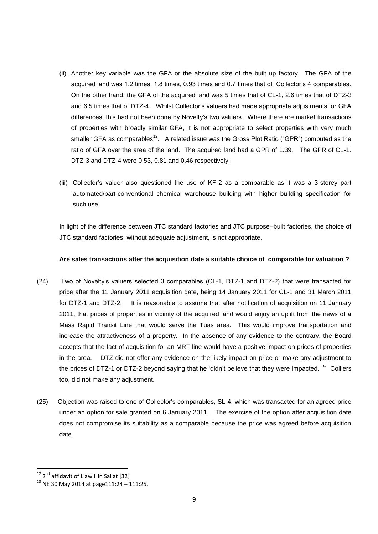- (ii) Another key variable was the GFA or the absolute size of the built up factory. The GFA of the acquired land was 1.2 times, 1.8 times, 0.93 times and 0.7 times that of Collector's 4 comparables. On the other hand, the GFA of the acquired land was 5 times that of CL-1, 2.6 times that of DTZ-3 and 6.5 times that of DTZ-4. Whilst Collector's valuers had made appropriate adjustments for GFA differences, this had not been done by Novelty's two valuers. Where there are market transactions of properties with broadly similar GFA, it is not appropriate to select properties with very much smaller GFA as comparables<sup>12</sup>. A related issue was the Gross Plot Ratio ("GPR") computed as the ratio of GFA over the area of the land. The acquired land had a GPR of 1.39. The GPR of CL-1. DTZ-3 and DTZ-4 were 0.53, 0.81 and 0.46 respectively.
- (iii) Collector's valuer also questioned the use of KF-2 as a comparable as it was a 3-storey part automated/part-conventional chemical warehouse building with higher building specification for such use.

In light of the difference between JTC standard factories and JTC purpose–built factories, the choice of JTC standard factories, without adequate adjustment, is not appropriate.

## **Are sales transactions after the acquisition date a suitable choice of comparable for valuation ?**

- (24)Two of Novelty's valuers selected 3 comparables (CL-1, DTZ-1 and DTZ-2) that were transacted for price after the 11 January 2011 acquisition date, being 14 January 2011 for CL-1 and 31 March 2011 for DTZ-1 and DTZ-2. It is reasonable to assume that after notification of acquisition on 11 January 2011, that prices of properties in vicinity of the acquired land would enjoy an uplift from the news of a Mass Rapid Transit Line that would serve the Tuas area. This would improve transportation and increase the attractiveness of a property. In the absence of any evidence to the contrary, the Board accepts that the fact of acquisition for an MRT line would have a positive impact on prices of properties in the area. DTZ did not offer any evidence on the likely impact on price or make any adjustment to the prices of DTZ-1 or DTZ-2 beyond saying that he 'didn't believe that they were impacted.<sup>13</sup>" Colliers too, did not make any adjustment.
- (25) Objection was raised to one of Collector's comparables, SL-4, which was transacted for an agreed price under an option for sale granted on 6 January 2011. The exercise of the option after acquisition date does not compromise its suitability as a comparable because the price was agreed before acquisition date.

**.** 

<sup>&</sup>lt;sup>12</sup> 2<sup>nd</sup> affidavit of Liaw Hin Sai at [32]

 $13$  NE 30 May 2014 at page111:24 - 111:25.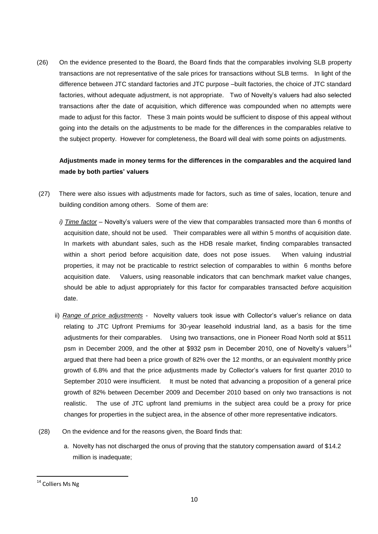(26) On the evidence presented to the Board, the Board finds that the comparables involving SLB property transactions are not representative of the sale prices for transactions without SLB terms. In light of the difference between JTC standard factories and JTC purpose –built factories, the choice of JTC standard factories, without adequate adjustment, is not appropriate. Two of Novelty's valuers had also selected transactions after the date of acquisition, which difference was compounded when no attempts were made to adjust for this factor. These 3 main points would be sufficient to dispose of this appeal without going into the details on the adjustments to be made for the differences in the comparables relative to the subject property. However for completeness, the Board will deal with some points on adjustments.

# **Adjustments made in money terms for the differences in the comparables and the acquired land made by both parties' valuers**

- (27)There were also issues with adjustments made for factors, such as time of sales, location, tenure and building condition among others. Some of them are:
	- *i) Time factor –* Novelty's valuers were of the view that comparables transacted more than 6 months of acquisition date, should not be used. Their comparables were all within 5 months of acquisition date. In markets with abundant sales, such as the HDB resale market, finding comparables transacted within a short period before acquisition date, does not pose issues. When valuing industrial properties, it may not be practicable to restrict selection of comparables to within 6 months before acquisition date. Valuers, using reasonable indicators that can benchmark market value changes, should be able to adjust appropriately for this factor for comparables transacted *before* acquisition date.
	- ii) *Range of price adjustments* Novelty valuers took issue with Collector's valuer's reliance on data relating to JTC Upfront Premiums for 30-year leasehold industrial land, as a basis for the time adjustments for their comparables. Using two transactions, one in Pioneer Road North sold at \$511 psm in December 2009, and the other at \$932 psm in December 2010, one of Novelty's valuers<sup>14</sup> argued that there had been a price growth of 82% over the 12 months, or an equivalent monthly price growth of 6.8% and that the price adjustments made by Collector's valuers for first quarter 2010 to September 2010 were insufficient. It must be noted that advancing a proposition of a general price growth of 82% between December 2009 and December 2010 based on only two transactions is not realistic. The use of JTC upfront land premiums in the subject area could be a proxy for price changes for properties in the subject area, in the absence of other more representative indicators.
- (28) On the evidence and for the reasons given, the Board finds that:
	- a. Novelty has not discharged the onus of proving that the statutory compensation award of \$14.2 million is inadequate;

 $\overline{a}$ 

<sup>&</sup>lt;sup>14</sup> Colliers Ms Ng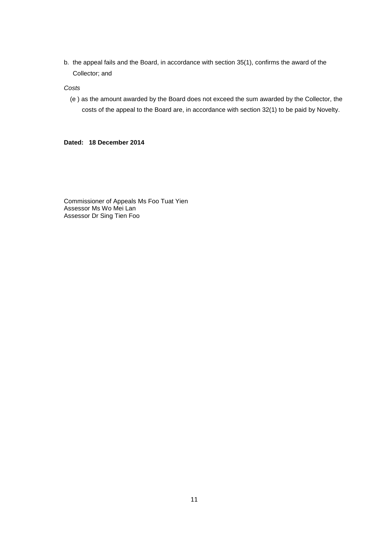b. the appeal fails and the Board, in accordance with section 35(1), confirms the award of the Collector; and

*Costs*

(e ) as the amount awarded by the Board does not exceed the sum awarded by the Collector, the costs of the appeal to the Board are, in accordance with section 32(1) to be paid by Novelty.

**Dated: 18 December 2014**

Commissioner of Appeals Ms Foo Tuat Yien Assessor Ms Wo Mei Lan Assessor Dr Sing Tien Foo